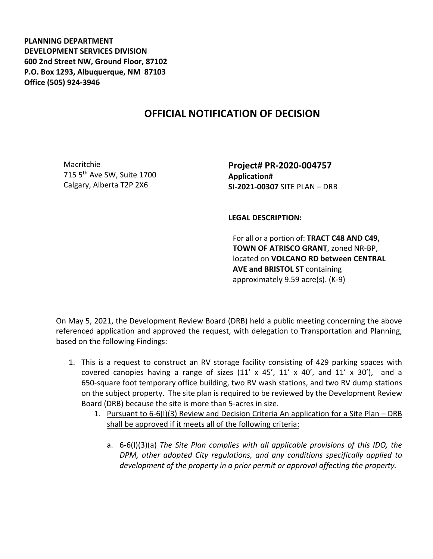**PLANNING DEPARTMENT DEVELOPMENT SERVICES DIVISION 600 2nd Street NW, Ground Floor, 87102 P.O. Box 1293, Albuquerque, NM 87103 Office (505) 924-3946** 

## **OFFICIAL NOTIFICATION OF DECISION**

Macritchie 715 5th Ave SW, Suite 1700 Calgary, Alberta T2P 2X6

**Project# PR-2020-004757 Application# SI-2021-00307** SITE PLAN – DRB

**LEGAL DESCRIPTION:**

For all or a portion of: **TRACT C48 AND C49, TOWN OF ATRISCO GRANT**, zoned NR-BP, located on **VOLCANO RD between CENTRAL AVE and BRISTOL ST** containing approximately 9.59 acre(s). (K-9)

On May 5, 2021, the Development Review Board (DRB) held a public meeting concerning the above referenced application and approved the request, with delegation to Transportation and Planning, based on the following Findings:

- 1. This is a request to construct an RV storage facility consisting of 429 parking spaces with covered canopies having a range of sizes  $(11' \times 45', 11' \times 40',$  and  $11' \times 30'$ ), and a 650-square foot temporary office building, two RV wash stations, and two RV dump stations on the subject property. The site plan is required to be reviewed by the Development Review Board (DRB) because the site is more than 5-acres in size.
	- 1. Pursuant to 6-6(I)(3) Review and Decision Criteria An application for a Site Plan DRB shall be approved if it meets all of the following criteria:
		- a. 6-6(I)(3)(a) *The Site Plan complies with all applicable provisions of this IDO, the DPM, other adopted City regulations, and any conditions specifically applied to development of the property in a prior permit or approval affecting the property.*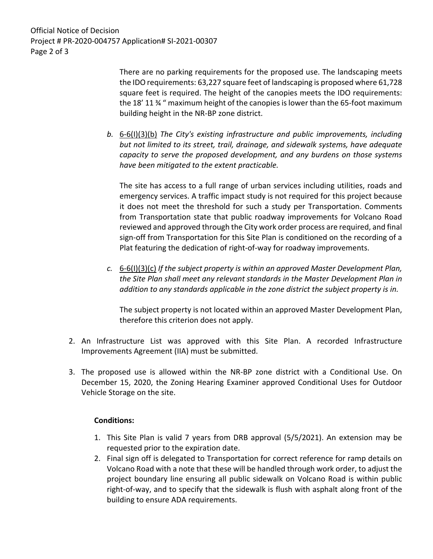Official Notice of Decision Project # PR-2020-004757 Application# SI-2021-00307 Page 2 of 3

> There are no parking requirements for the proposed use. The landscaping meets the IDO requirements: 63,227 square feet of landscaping is proposed where 61,728 square feet is required. The height of the canopies meets the IDO requirements: the 18' 11 ¾ " maximum height of the canopies is lower than the 65-foot maximum building height in the NR-BP zone district.

*b.* 6-6(I)(3)(b) *The City's existing infrastructure and public improvements, including but not limited to its street, trail, drainage, and sidewalk systems, have adequate capacity to serve the proposed development, and any burdens on those systems have been mitigated to the extent practicable.* 

The site has access to a full range of urban services including utilities, roads and emergency services. A traffic impact study is not required for this project because it does not meet the threshold for such a study per Transportation. Comments from Transportation state that public roadway improvements for Volcano Road reviewed and approved through the City work order process are required, and final sign-off from Transportation for this Site Plan is conditioned on the recording of a Plat featuring the dedication of right-of-way for roadway improvements.

*c.* 6-6(I)(3)(c) *If the subject property is within an approved Master Development Plan, the Site Plan shall meet any relevant standards in the Master Development Plan in addition to any standards applicable in the zone district the subject property is in.*

The subject property is not located within an approved Master Development Plan, therefore this criterion does not apply.

- 2. An Infrastructure List was approved with this Site Plan. A recorded Infrastructure Improvements Agreement (IIA) must be submitted.
- 3. The proposed use is allowed within the NR-BP zone district with a Conditional Use. On December 15, 2020, the Zoning Hearing Examiner approved Conditional Uses for Outdoor Vehicle Storage on the site.

## **Conditions:**

- 1. This Site Plan is valid 7 years from DRB approval (5/5/2021). An extension may be requested prior to the expiration date.
- 2. Final sign off is delegated to Transportation for correct reference for ramp details on Volcano Road with a note that these will be handled through work order, to adjust the project boundary line ensuring all public sidewalk on Volcano Road is within public right-of-way, and to specify that the sidewalk is flush with asphalt along front of the building to ensure ADA requirements.